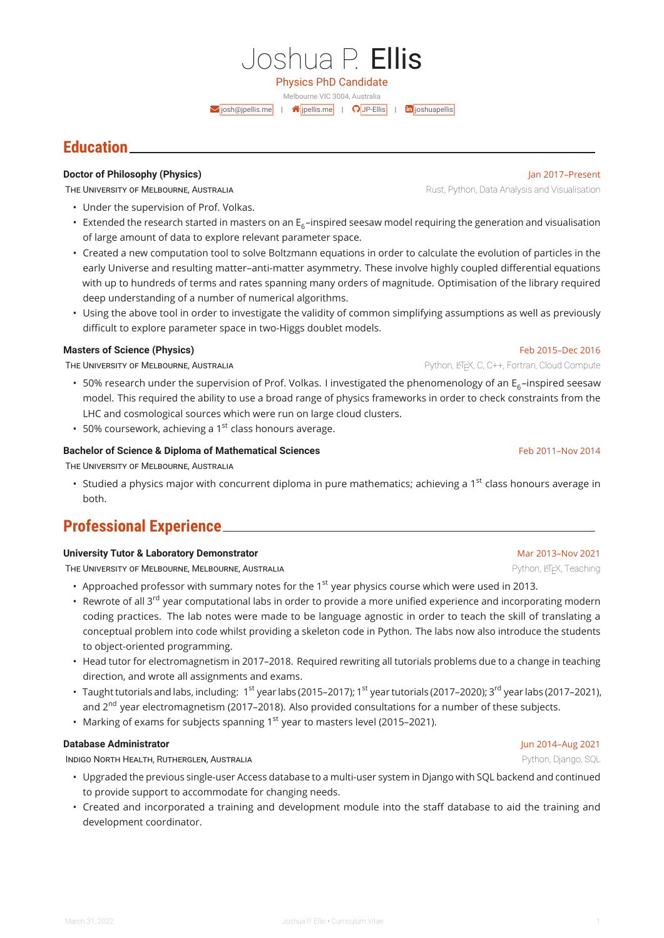Melbourne VIC 3004, Australia  $\blacktriangleright$  [josh@jpellis.me](mailto:josh@jpellis.me) |  $\blacklozenge$  [jpellis.me](http://jpellis.me) |  $\blacklozenge$  [JP-Ellis](https://github.com/JP-Ellis) |  $\blacksquare$  [joshuapellis](https://linkedin.com/in/joshuapellis)

## **Education**

## **Doctor of Philosophy (Physics) Jan 2017–Present**

THE UNIVERSITY OF MELBOURNE, AUSTRALIA RUST AND RUST AND RUST, Python, Data Analysis and Visualisation

- Under the supervision of Prof. Volkas.
- $\cdot~$  Extended the research started in masters on an E $_6$ –inspired seesaw model requiring the generation and visualisation of large amount of data to explore relevant parameter space.
- Created a new computation tool to solve Boltzmann equations in order to calculate the evolution of particles in the early Universe and resulting matter–anti-matter asymmetry. These involve highly coupled differential equations with up to hundreds of terms and rates spanning many orders of magnitude. Optimisation of the library required deep understanding of a number of numerical algorithms.
- Using the above tool in order to investigate the validity of common simplifying assumptions as well as previously difficult to explore parameter space in two-Higgs doublet models.

## **Masters of Science (Physics)** Feb 2015–Dec 2016

THE UNIVERSITY OF MELBOURNE, AUSTRALIA **Properties and AUSTRALIA** Python, LAT<sub>EX</sub>, C, C++, Fortran, Cloud Compute

- 50% research under the supervision of Prof. Volkas. I investigated the phenomenology of an E $_{\rm 6}$ –inspired seesaw model. This required the ability to use a broad range of physics frameworks in order to check constraints from the LHC and cosmological sources which were run on large cloud clusters.
- 50% coursework, achieving a  $1<sup>st</sup>$  class honours average.

## **Bachelor of Science & Diploma of Mathematical Sciences** Feb 2011–Nov 2014

THE UNIVERSITY OF MELBOURNE, AUSTRALIA

• Studied a physics major with concurrent diploma in pure mathematics; achieving a 1<sup>st</sup> class honours average in both.

# **Professional Experience**

## **University Tutor & Laboratory Demonstrator** Mar 2013-Nov 2021 Nov 2021

THE UNIVERSITY OF MELBOURNE, MELBOURNE, AUSTRALIA **Experience and the Contract Contract Contract Contract Contract Contract Contract Contract Contract Contract Contract Contract Contract Contract Contract Contract Contract** 

- Approached professor with summary notes for the  $1<sup>st</sup>$  year physics course which were used in 2013.
- Rewrote of all 3<sup>rd</sup> year computational labs in order to provide a more unified experience and incorporating modern coding practices. The lab notes were made to be language agnostic in order to teach the skill of translating a conceptual problem into code whilst providing a skeleton code in Python. The labs now also introduce the students to object-oriented programming.
- Head tutor for electromagnetism in 2017–2018. Required rewriting all tutorials problems due to a change in teaching direction, and wrote all assignments and exams.
- $\bullet~$  Taught tutorials and labs, including:  $~1^{\rm st}$  year labs (2015–2017); 1 $^{\rm st}$  year tutorials (2017–2020); 3 $^{\rm rd}$  year labs (2017–2021), and 2<sup>nd</sup> year electromagnetism (2017–2018). Also provided consultations for a number of these subjects.
- Marking of exams for subjects spanning 1<sup>st</sup> year to masters level (2015–2021).

## **Database Administrator** Jun 2014–Aug 2021

INDIGO NORTH HEALTH, RUTHERGLEN, AUSTRALIA **Python, Django, SQL** Python, Django, SQL

- Upgraded the previous single-user Access database to a multi-user system in Django with SQL backend and continued to provide support to accommodate for changing needs.
- Created and incorporated a training and development module into the staff database to aid the training and development coordinator.